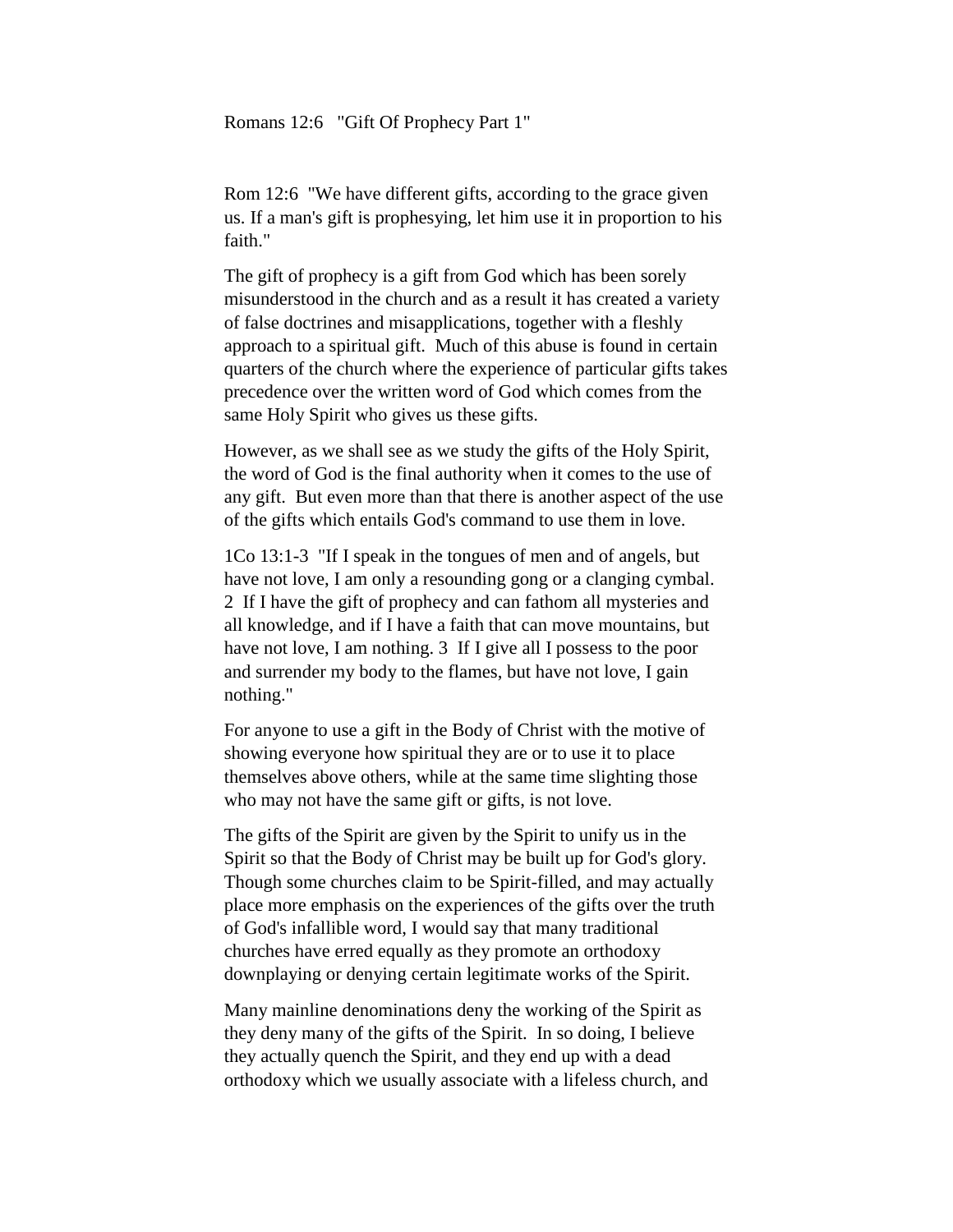Romans 12:6 "Gift Of Prophecy Part 1"

Rom 12:6 "We have different gifts, according to the grace given us. If a man's gift is prophesying, let him use it in proportion to his faith."

The gift of prophecy is a gift from God which has been sorely misunderstood in the church and as a result it has created a variety of false doctrines and misapplications, together with a fleshly approach to a spiritual gift. Much of this abuse is found in certain quarters of the church where the experience of particular gifts takes precedence over the written word of God which comes from the same Holy Spirit who gives us these gifts.

However, as we shall see as we study the gifts of the Holy Spirit, the word of God is the final authority when it comes to the use of any gift. But even more than that there is another aspect of the use of the gifts which entails God's command to use them in love.

1Co 13:1-3 "If I speak in the tongues of men and of angels, but have not love, I am only a resounding gong or a clanging cymbal. 2 If I have the gift of prophecy and can fathom all mysteries and all knowledge, and if I have a faith that can move mountains, but have not love, I am nothing. 3 If I give all I possess to the poor and surrender my body to the flames, but have not love, I gain nothing."

For anyone to use a gift in the Body of Christ with the motive of showing everyone how spiritual they are or to use it to place themselves above others, while at the same time slighting those who may not have the same gift or gifts, is not love.

The gifts of the Spirit are given by the Spirit to unify us in the Spirit so that the Body of Christ may be built up for God's glory. Though some churches claim to be Spirit-filled, and may actually place more emphasis on the experiences of the gifts over the truth of God's infallible word, I would say that many traditional churches have erred equally as they promote an orthodoxy downplaying or denying certain legitimate works of the Spirit.

Many mainline denominations deny the working of the Spirit as they deny many of the gifts of the Spirit. In so doing, I believe they actually quench the Spirit, and they end up with a dead orthodoxy which we usually associate with a lifeless church, and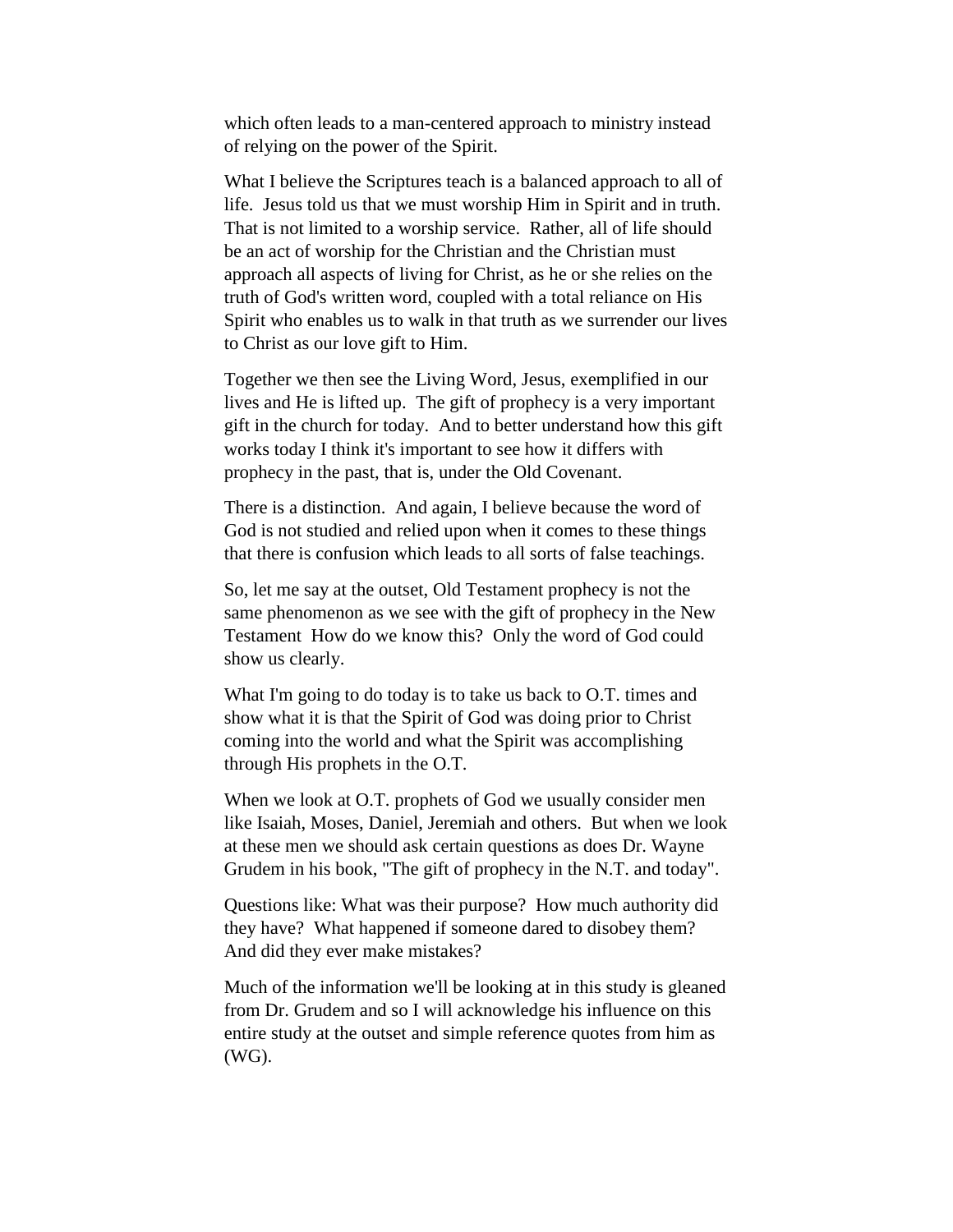which often leads to a man-centered approach to ministry instead of relying on the power of the Spirit.

What I believe the Scriptures teach is a balanced approach to all of life. Jesus told us that we must worship Him in Spirit and in truth. That is not limited to a worship service. Rather, all of life should be an act of worship for the Christian and the Christian must approach all aspects of living for Christ, as he or she relies on the truth of God's written word, coupled with a total reliance on His Spirit who enables us to walk in that truth as we surrender our lives to Christ as our love gift to Him.

Together we then see the Living Word, Jesus, exemplified in our lives and He is lifted up. The gift of prophecy is a very important gift in the church for today. And to better understand how this gift works today I think it's important to see how it differs with prophecy in the past, that is, under the Old Covenant.

There is a distinction. And again, I believe because the word of God is not studied and relied upon when it comes to these things that there is confusion which leads to all sorts of false teachings.

So, let me say at the outset, Old Testament prophecy is not the same phenomenon as we see with the gift of prophecy in the New Testament How do we know this? Only the word of God could show us clearly.

What I'm going to do today is to take us back to O.T. times and show what it is that the Spirit of God was doing prior to Christ coming into the world and what the Spirit was accomplishing through His prophets in the O.T.

When we look at O.T. prophets of God we usually consider men like Isaiah, Moses, Daniel, Jeremiah and others. But when we look at these men we should ask certain questions as does Dr. Wayne Grudem in his book, "The gift of prophecy in the N.T. and today".

Questions like: What was their purpose? How much authority did they have? What happened if someone dared to disobey them? And did they ever make mistakes?

Much of the information we'll be looking at in this study is gleaned from Dr. Grudem and so I will acknowledge his influence on this entire study at the outset and simple reference quotes from him as (WG).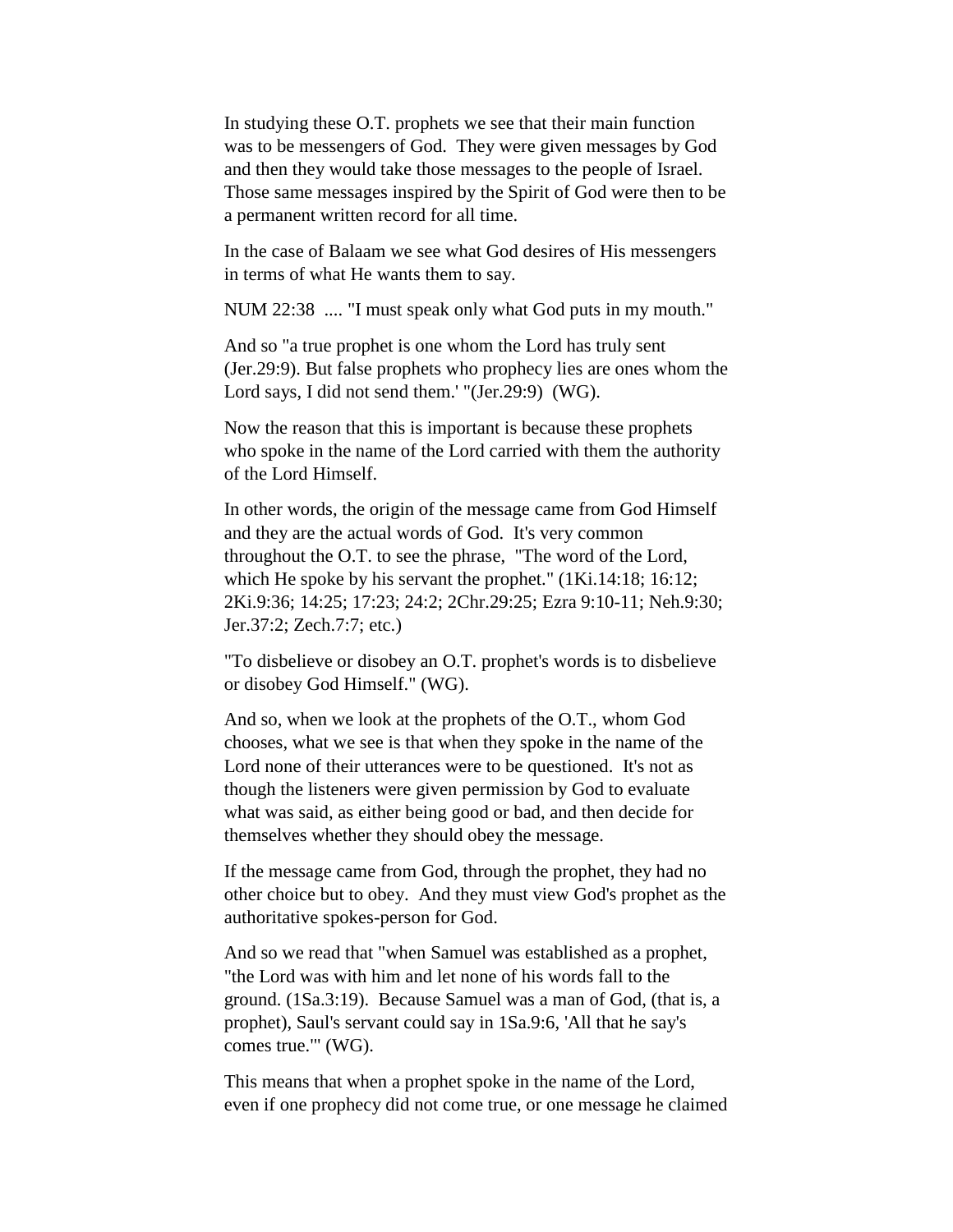In studying these O.T. prophets we see that their main function was to be messengers of God. They were given messages by God and then they would take those messages to the people of Israel. Those same messages inspired by the Spirit of God were then to be a permanent written record for all time.

In the case of Balaam we see what God desires of His messengers in terms of what He wants them to say.

NUM 22:38 .... "I must speak only what God puts in my mouth."

And so "a true prophet is one whom the Lord has truly sent (Jer.29:9). But false prophets who prophecy lies are ones whom the Lord says, I did not send them.' "(Jer.29:9) (WG).

Now the reason that this is important is because these prophets who spoke in the name of the Lord carried with them the authority of the Lord Himself.

In other words, the origin of the message came from God Himself and they are the actual words of God. It's very common throughout the O.T. to see the phrase, "The word of the Lord, which He spoke by his servant the prophet." (1Ki.14:18; 16:12; 2Ki.9:36; 14:25; 17:23; 24:2; 2Chr.29:25; Ezra 9:10-11; Neh.9:30; Jer.37:2; Zech.7:7; etc.)

"To disbelieve or disobey an O.T. prophet's words is to disbelieve or disobey God Himself." (WG).

And so, when we look at the prophets of the O.T., whom God chooses, what we see is that when they spoke in the name of the Lord none of their utterances were to be questioned. It's not as though the listeners were given permission by God to evaluate what was said, as either being good or bad, and then decide for themselves whether they should obey the message.

If the message came from God, through the prophet, they had no other choice but to obey. And they must view God's prophet as the authoritative spokes-person for God.

And so we read that "when Samuel was established as a prophet, "the Lord was with him and let none of his words fall to the ground. (1Sa.3:19). Because Samuel was a man of God, (that is, a prophet), Saul's servant could say in 1Sa.9:6, 'All that he say's comes true.'" (WG).

This means that when a prophet spoke in the name of the Lord, even if one prophecy did not come true, or one message he claimed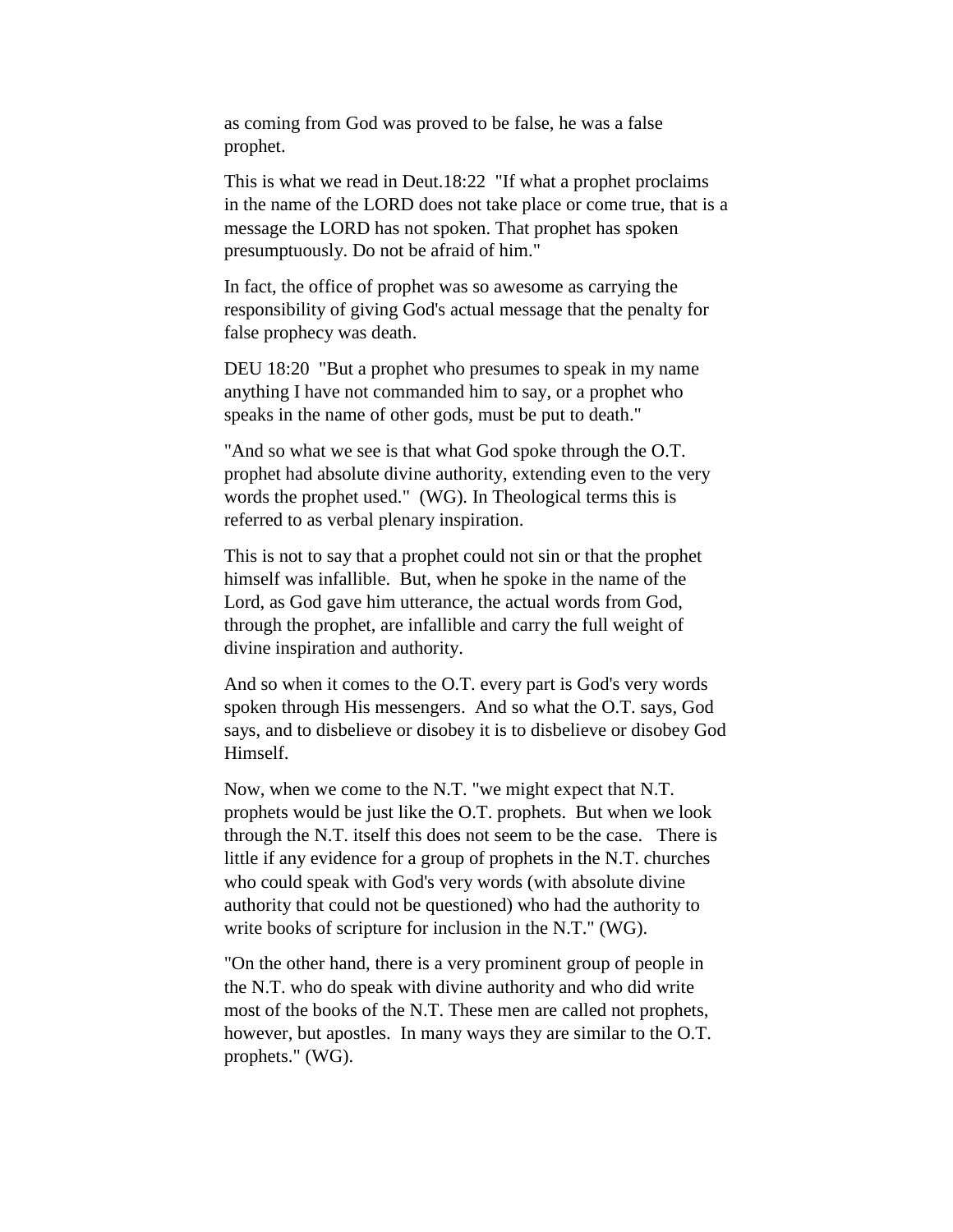as coming from God was proved to be false, he was a false prophet.

This is what we read in Deut.18:22 "If what a prophet proclaims in the name of the LORD does not take place or come true, that is a message the LORD has not spoken. That prophet has spoken presumptuously. Do not be afraid of him."

In fact, the office of prophet was so awesome as carrying the responsibility of giving God's actual message that the penalty for false prophecy was death.

DEU 18:20 "But a prophet who presumes to speak in my name anything I have not commanded him to say, or a prophet who speaks in the name of other gods, must be put to death."

"And so what we see is that what God spoke through the O.T. prophet had absolute divine authority, extending even to the very words the prophet used." (WG). In Theological terms this is referred to as verbal plenary inspiration.

This is not to say that a prophet could not sin or that the prophet himself was infallible. But, when he spoke in the name of the Lord, as God gave him utterance, the actual words from God, through the prophet, are infallible and carry the full weight of divine inspiration and authority.

And so when it comes to the O.T. every part is God's very words spoken through His messengers. And so what the O.T. says, God says, and to disbelieve or disobey it is to disbelieve or disobey God Himself.

Now, when we come to the N.T. "we might expect that N.T. prophets would be just like the O.T. prophets. But when we look through the N.T. itself this does not seem to be the case. There is little if any evidence for a group of prophets in the N.T. churches who could speak with God's very words (with absolute divine authority that could not be questioned) who had the authority to write books of scripture for inclusion in the N.T." (WG).

"On the other hand, there is a very prominent group of people in the N.T. who do speak with divine authority and who did write most of the books of the N.T. These men are called not prophets, however, but apostles. In many ways they are similar to the O.T. prophets." (WG).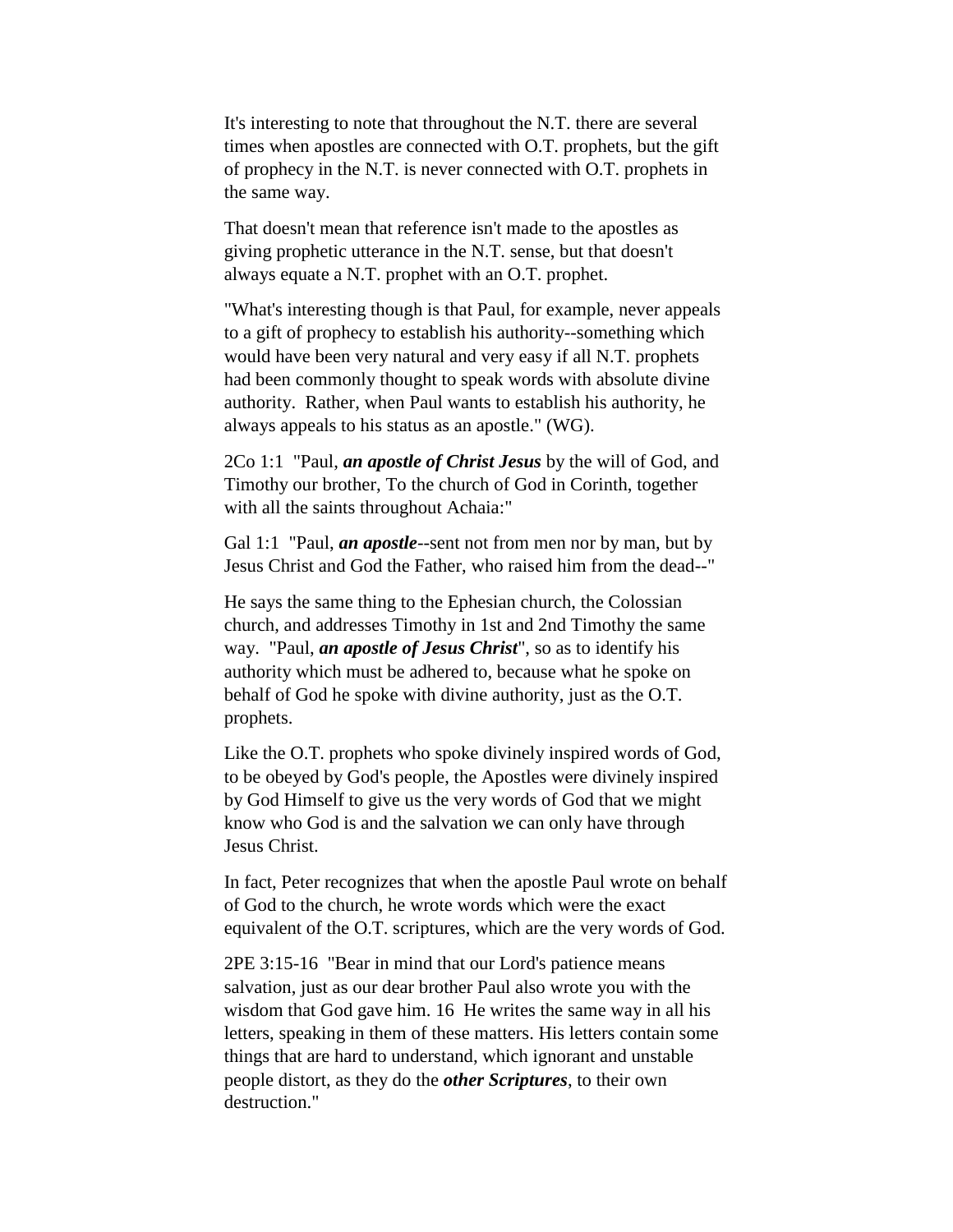It's interesting to note that throughout the N.T. there are several times when apostles are connected with O.T. prophets, but the gift of prophecy in the N.T. is never connected with O.T. prophets in the same way.

That doesn't mean that reference isn't made to the apostles as giving prophetic utterance in the N.T. sense, but that doesn't always equate a N.T. prophet with an O.T. prophet.

"What's interesting though is that Paul, for example, never appeals to a gift of prophecy to establish his authority--something which would have been very natural and very easy if all N.T. prophets had been commonly thought to speak words with absolute divine authority. Rather, when Paul wants to establish his authority, he always appeals to his status as an apostle." (WG).

2Co 1:1 "Paul, *an apostle of Christ Jesus* by the will of God, and Timothy our brother, To the church of God in Corinth, together with all the saints throughout Achaia:"

Gal 1:1 "Paul, *an apostle*--sent not from men nor by man, but by Jesus Christ and God the Father, who raised him from the dead--"

He says the same thing to the Ephesian church, the Colossian church, and addresses Timothy in 1st and 2nd Timothy the same way. "Paul, *an apostle of Jesus Christ*", so as to identify his authority which must be adhered to, because what he spoke on behalf of God he spoke with divine authority, just as the O.T. prophets.

Like the O.T. prophets who spoke divinely inspired words of God, to be obeyed by God's people, the Apostles were divinely inspired by God Himself to give us the very words of God that we might know who God is and the salvation we can only have through Jesus Christ.

In fact, Peter recognizes that when the apostle Paul wrote on behalf of God to the church, he wrote words which were the exact equivalent of the O.T. scriptures, which are the very words of God.

2PE 3:15-16 "Bear in mind that our Lord's patience means salvation, just as our dear brother Paul also wrote you with the wisdom that God gave him. 16 He writes the same way in all his letters, speaking in them of these matters. His letters contain some things that are hard to understand, which ignorant and unstable people distort, as they do the *other Scriptures*, to their own destruction."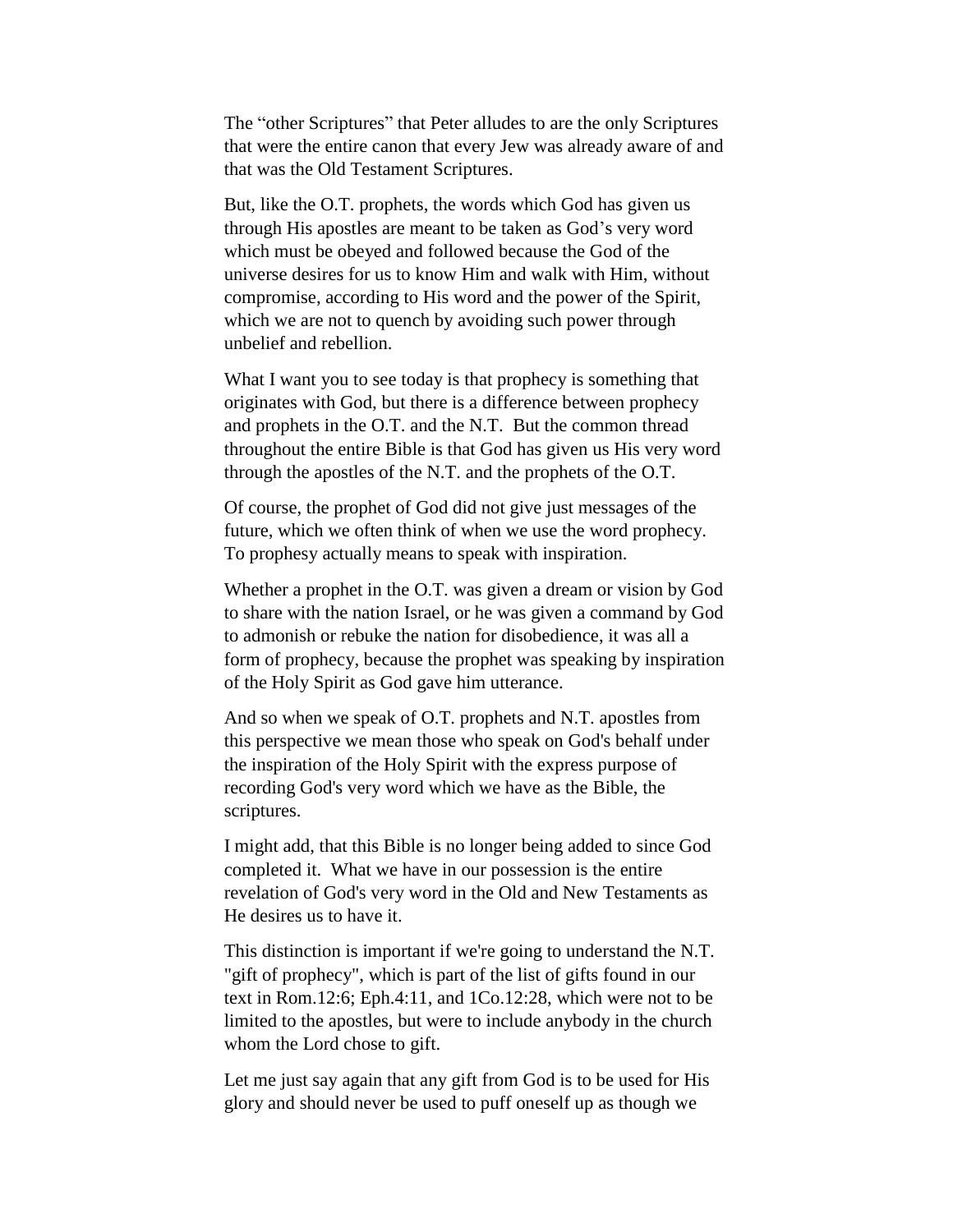The "other Scriptures" that Peter alludes to are the only Scriptures that were the entire canon that every Jew was already aware of and that was the Old Testament Scriptures.

But, like the O.T. prophets, the words which God has given us through His apostles are meant to be taken as God's very word which must be obeyed and followed because the God of the universe desires for us to know Him and walk with Him, without compromise, according to His word and the power of the Spirit, which we are not to quench by avoiding such power through unbelief and rebellion.

What I want you to see today is that prophecy is something that originates with God, but there is a difference between prophecy and prophets in the O.T. and the N.T. But the common thread throughout the entire Bible is that God has given us His very word through the apostles of the N.T. and the prophets of the O.T.

Of course, the prophet of God did not give just messages of the future, which we often think of when we use the word prophecy. To prophesy actually means to speak with inspiration.

Whether a prophet in the O.T. was given a dream or vision by God to share with the nation Israel, or he was given a command by God to admonish or rebuke the nation for disobedience, it was all a form of prophecy, because the prophet was speaking by inspiration of the Holy Spirit as God gave him utterance.

And so when we speak of O.T. prophets and N.T. apostles from this perspective we mean those who speak on God's behalf under the inspiration of the Holy Spirit with the express purpose of recording God's very word which we have as the Bible, the scriptures.

I might add, that this Bible is no longer being added to since God completed it. What we have in our possession is the entire revelation of God's very word in the Old and New Testaments as He desires us to have it.

This distinction is important if we're going to understand the N.T. "gift of prophecy", which is part of the list of gifts found in our text in Rom.12:6; Eph.4:11, and 1Co.12:28, which were not to be limited to the apostles, but were to include anybody in the church whom the Lord chose to gift.

Let me just say again that any gift from God is to be used for His glory and should never be used to puff oneself up as though we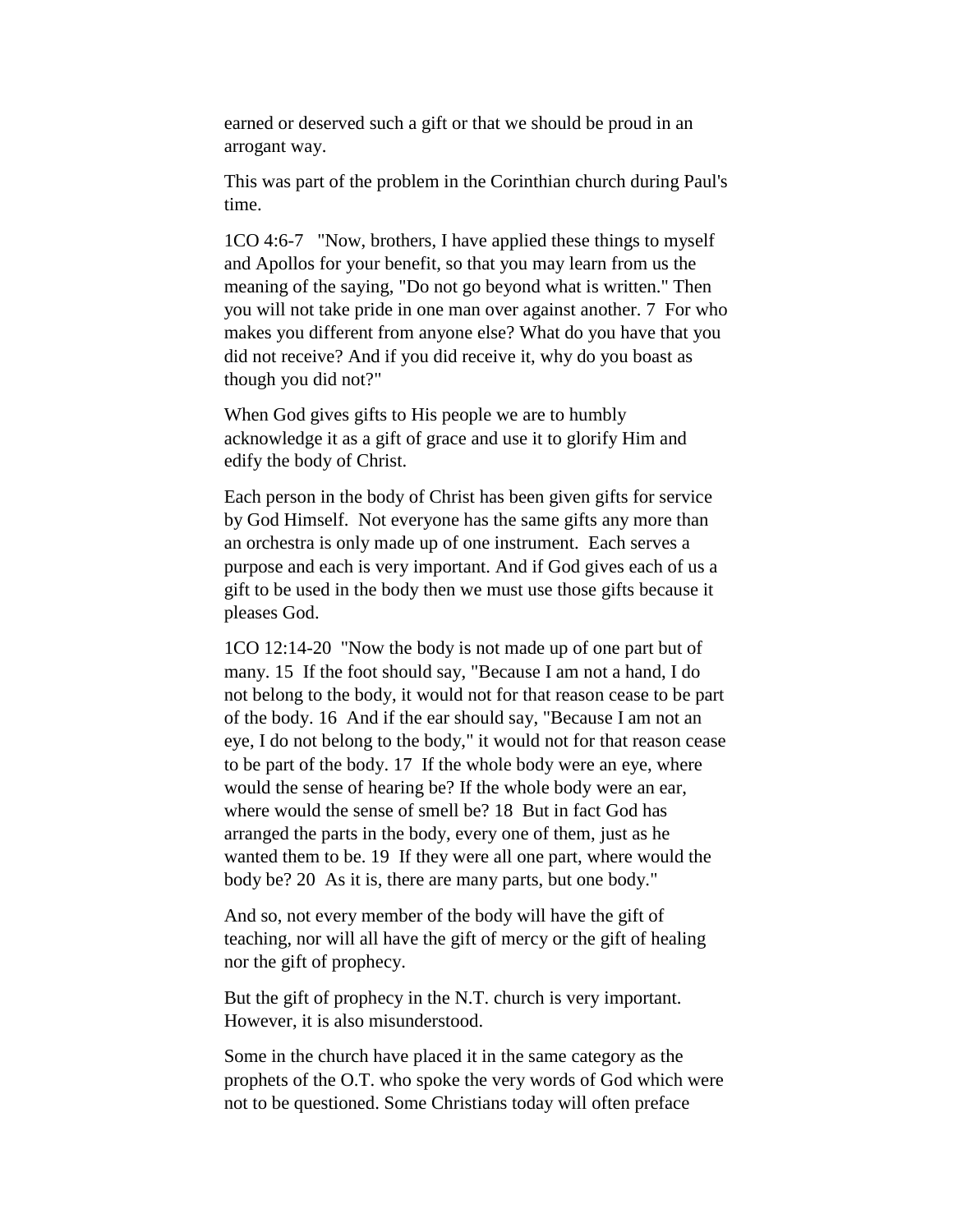earned or deserved such a gift or that we should be proud in an arrogant way.

This was part of the problem in the Corinthian church during Paul's time.

1CO 4:6-7 "Now, brothers, I have applied these things to myself and Apollos for your benefit, so that you may learn from us the meaning of the saying, "Do not go beyond what is written." Then you will not take pride in one man over against another. 7 For who makes you different from anyone else? What do you have that you did not receive? And if you did receive it, why do you boast as though you did not?"

When God gives gifts to His people we are to humbly acknowledge it as a gift of grace and use it to glorify Him and edify the body of Christ.

Each person in the body of Christ has been given gifts for service by God Himself. Not everyone has the same gifts any more than an orchestra is only made up of one instrument. Each serves a purpose and each is very important. And if God gives each of us a gift to be used in the body then we must use those gifts because it pleases God.

1CO 12:14-20 "Now the body is not made up of one part but of many. 15 If the foot should say, "Because I am not a hand, I do not belong to the body, it would not for that reason cease to be part of the body. 16 And if the ear should say, "Because I am not an eye, I do not belong to the body," it would not for that reason cease to be part of the body. 17 If the whole body were an eye, where would the sense of hearing be? If the whole body were an ear, where would the sense of smell be? 18 But in fact God has arranged the parts in the body, every one of them, just as he wanted them to be. 19 If they were all one part, where would the body be? 20 As it is, there are many parts, but one body."

And so, not every member of the body will have the gift of teaching, nor will all have the gift of mercy or the gift of healing nor the gift of prophecy.

But the gift of prophecy in the N.T. church is very important. However, it is also misunderstood.

Some in the church have placed it in the same category as the prophets of the O.T. who spoke the very words of God which were not to be questioned. Some Christians today will often preface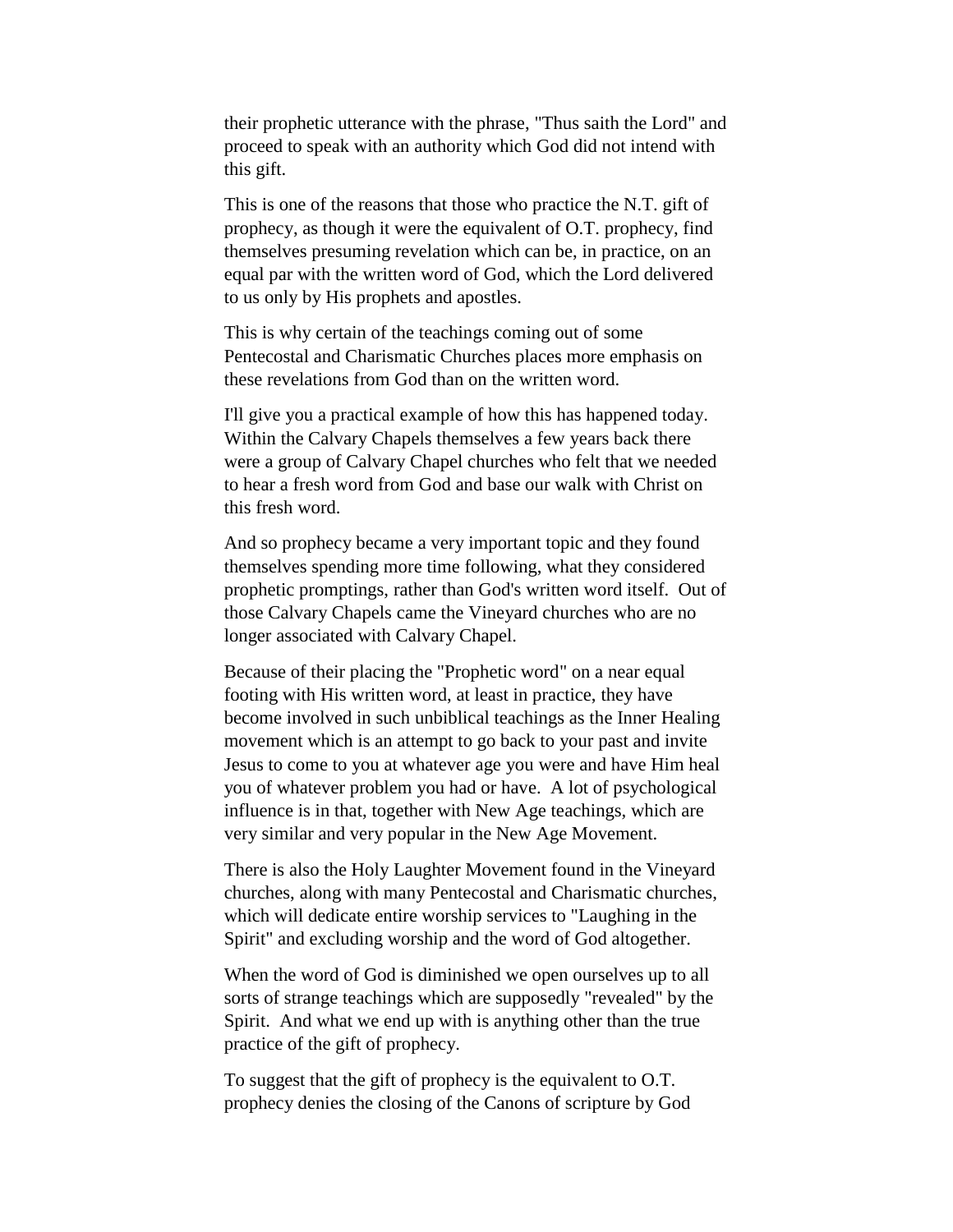their prophetic utterance with the phrase, "Thus saith the Lord" and proceed to speak with an authority which God did not intend with this gift.

This is one of the reasons that those who practice the N.T. gift of prophecy, as though it were the equivalent of O.T. prophecy, find themselves presuming revelation which can be, in practice, on an equal par with the written word of God, which the Lord delivered to us only by His prophets and apostles.

This is why certain of the teachings coming out of some Pentecostal and Charismatic Churches places more emphasis on these revelations from God than on the written word.

I'll give you a practical example of how this has happened today. Within the Calvary Chapels themselves a few years back there were a group of Calvary Chapel churches who felt that we needed to hear a fresh word from God and base our walk with Christ on this fresh word.

And so prophecy became a very important topic and they found themselves spending more time following, what they considered prophetic promptings, rather than God's written word itself. Out of those Calvary Chapels came the Vineyard churches who are no longer associated with Calvary Chapel.

Because of their placing the "Prophetic word" on a near equal footing with His written word, at least in practice, they have become involved in such unbiblical teachings as the Inner Healing movement which is an attempt to go back to your past and invite Jesus to come to you at whatever age you were and have Him heal you of whatever problem you had or have. A lot of psychological influence is in that, together with New Age teachings, which are very similar and very popular in the New Age Movement.

There is also the Holy Laughter Movement found in the Vineyard churches, along with many Pentecostal and Charismatic churches, which will dedicate entire worship services to "Laughing in the Spirit" and excluding worship and the word of God altogether.

When the word of God is diminished we open ourselves up to all sorts of strange teachings which are supposedly "revealed" by the Spirit. And what we end up with is anything other than the true practice of the gift of prophecy.

To suggest that the gift of prophecy is the equivalent to O.T. prophecy denies the closing of the Canons of scripture by God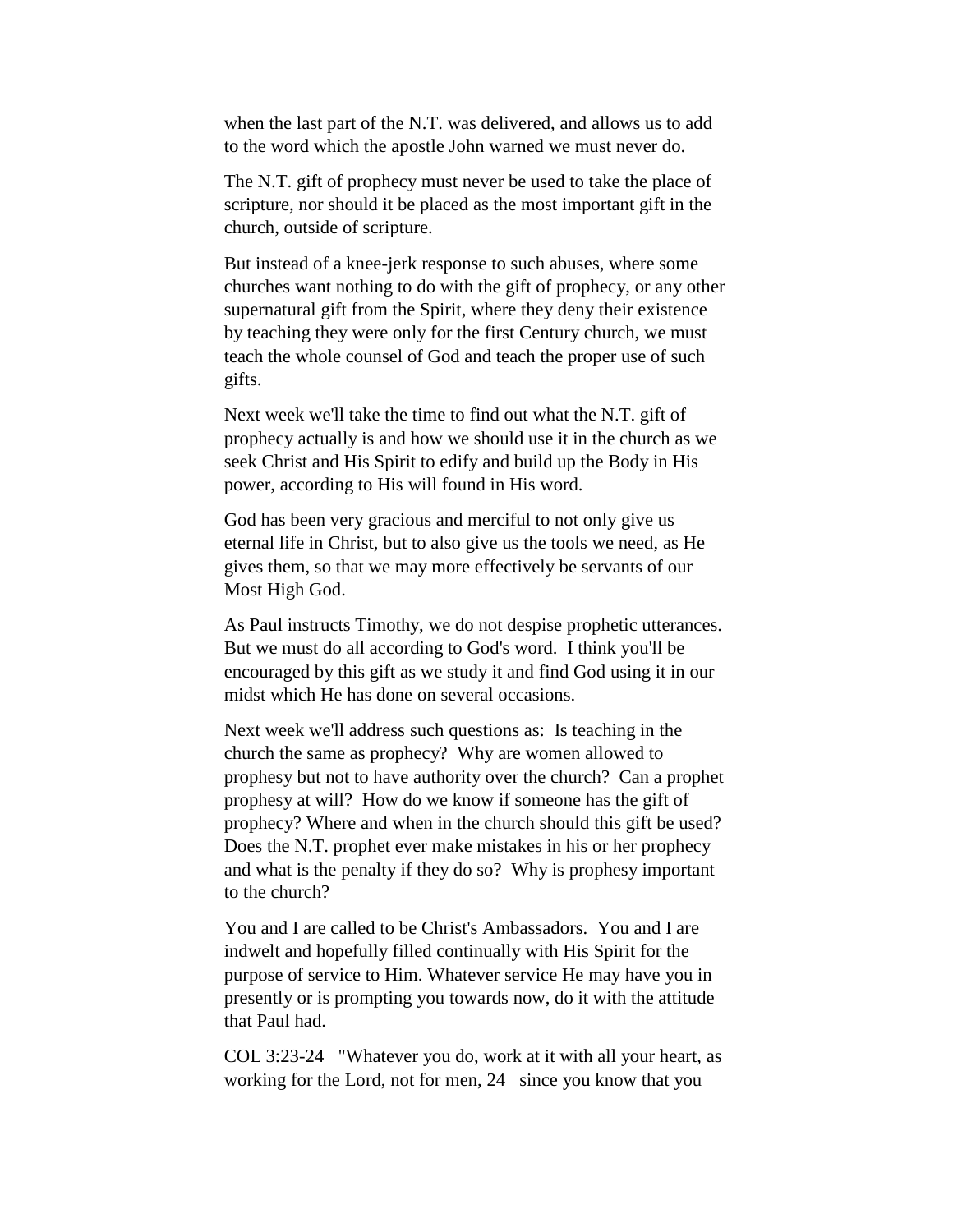when the last part of the N.T. was delivered, and allows us to add to the word which the apostle John warned we must never do.

The N.T. gift of prophecy must never be used to take the place of scripture, nor should it be placed as the most important gift in the church, outside of scripture.

But instead of a knee-jerk response to such abuses, where some churches want nothing to do with the gift of prophecy, or any other supernatural gift from the Spirit, where they deny their existence by teaching they were only for the first Century church, we must teach the whole counsel of God and teach the proper use of such gifts.

Next week we'll take the time to find out what the N.T. gift of prophecy actually is and how we should use it in the church as we seek Christ and His Spirit to edify and build up the Body in His power, according to His will found in His word.

God has been very gracious and merciful to not only give us eternal life in Christ, but to also give us the tools we need, as He gives them, so that we may more effectively be servants of our Most High God.

As Paul instructs Timothy, we do not despise prophetic utterances. But we must do all according to God's word. I think you'll be encouraged by this gift as we study it and find God using it in our midst which He has done on several occasions.

Next week we'll address such questions as: Is teaching in the church the same as prophecy? Why are women allowed to prophesy but not to have authority over the church? Can a prophet prophesy at will? How do we know if someone has the gift of prophecy? Where and when in the church should this gift be used? Does the N.T. prophet ever make mistakes in his or her prophecy and what is the penalty if they do so? Why is prophesy important to the church?

You and I are called to be Christ's Ambassadors. You and I are indwelt and hopefully filled continually with His Spirit for the purpose of service to Him. Whatever service He may have you in presently or is prompting you towards now, do it with the attitude that Paul had.

COL 3:23-24 "Whatever you do, work at it with all your heart, as working for the Lord, not for men, 24 since you know that you